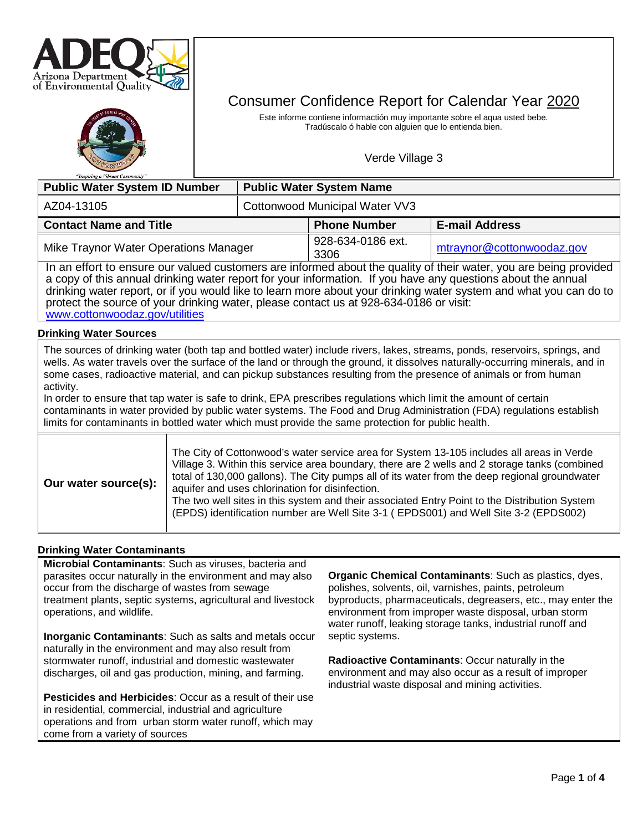



Este informe contiene informactión muy importante sobre el aqua usted bebe. Tradúscalo ó hable con alguien que lo entienda bien.

# Verde Village 3

| "Inspiring a Vibrant Community"<br><b>Public Water System ID Number</b>                                                                                                                                                                                                                                                                                                                                                                                                                                                                                         |  |                                                                   |                                              |                           |  |  |
|-----------------------------------------------------------------------------------------------------------------------------------------------------------------------------------------------------------------------------------------------------------------------------------------------------------------------------------------------------------------------------------------------------------------------------------------------------------------------------------------------------------------------------------------------------------------|--|-------------------------------------------------------------------|----------------------------------------------|---------------------------|--|--|
| AZ04-13105                                                                                                                                                                                                                                                                                                                                                                                                                                                                                                                                                      |  | <b>Public Water System Name</b><br>Cottonwood Municipal Water VV3 |                                              |                           |  |  |
| <b>Contact Name and Title</b>                                                                                                                                                                                                                                                                                                                                                                                                                                                                                                                                   |  |                                                                   | <b>Phone Number</b><br><b>E-mail Address</b> |                           |  |  |
| Mike Traynor Water Operations Manager                                                                                                                                                                                                                                                                                                                                                                                                                                                                                                                           |  |                                                                   | 928-634-0186 ext.<br>3306                    | mtraynor@cottonwoodaz.gov |  |  |
| In an effort to ensure our valued customers are informed about the quality of their water, you are being provided<br>a copy of this annual drinking water report for your information. If you have any questions about the annual<br>drinking water report, or if you would like to learn more about your drinking water system and what you can do to<br>protect the source of your drinking water, please contact us at 928-634-0186 or visit:<br>www.cottonwoodaz.gov/utilities                                                                              |  |                                                                   |                                              |                           |  |  |
| <b>Drinking Water Sources</b>                                                                                                                                                                                                                                                                                                                                                                                                                                                                                                                                   |  |                                                                   |                                              |                           |  |  |
| The sources of drinking water (both tap and bottled water) include rivers, lakes, streams, ponds, reservoirs, springs, and<br>wells. As water travels over the surface of the land or through the ground, it dissolves naturally-occurring minerals, and in<br>some cases, radioactive material, and can pickup substances resulting from the presence of animals or from human<br>activity.                                                                                                                                                                    |  |                                                                   |                                              |                           |  |  |
| In order to ensure that tap water is safe to drink, EPA prescribes regulations which limit the amount of certain<br>contaminants in water provided by public water systems. The Food and Drug Administration (FDA) regulations establish<br>limits for contaminants in bottled water which must provide the same protection for public health.                                                                                                                                                                                                                  |  |                                                                   |                                              |                           |  |  |
| The City of Cottonwood's water service area for System 13-105 includes all areas in Verde<br>Village 3. Within this service area boundary, there are 2 wells and 2 storage tanks (combined<br>total of 130,000 gallons). The City pumps all of its water from the deep regional groundwater<br>Our water source(s):<br>aquifer and uses chlorination for disinfection.<br>The two well sites in this system and their associated Entry Point to the Distribution System<br>(EPDS) identification number are Well Site 3-1 (EPDS001) and Well Site 3-2 (EPDS002) |  |                                                                   |                                              |                           |  |  |

## **Drinking Water Contaminants**

**Microbial Contaminants**: Such as viruses, bacteria and parasites occur naturally in the environment and may also occur from the discharge of wastes from sewage treatment plants, septic systems, agricultural and livestock operations, and wildlife.

**Inorganic Contaminants**: Such as salts and metals occur naturally in the environment and may also result from stormwater runoff, industrial and domestic wastewater discharges, oil and gas production, mining, and farming.

**Pesticides and Herbicides**: Occur as a result of their use in residential, commercial, industrial and agriculture operations and from urban storm water runoff, which may come from a variety of sources

**Organic Chemical Contaminants**: Such as plastics, dyes, polishes, solvents, oil, varnishes, paints, petroleum byproducts, pharmaceuticals, degreasers, etc., may enter the environment from improper waste disposal, urban storm water runoff, leaking storage tanks, industrial runoff and septic systems.

**Radioactive Contaminants**: Occur naturally in the environment and may also occur as a result of improper industrial waste disposal and mining activities.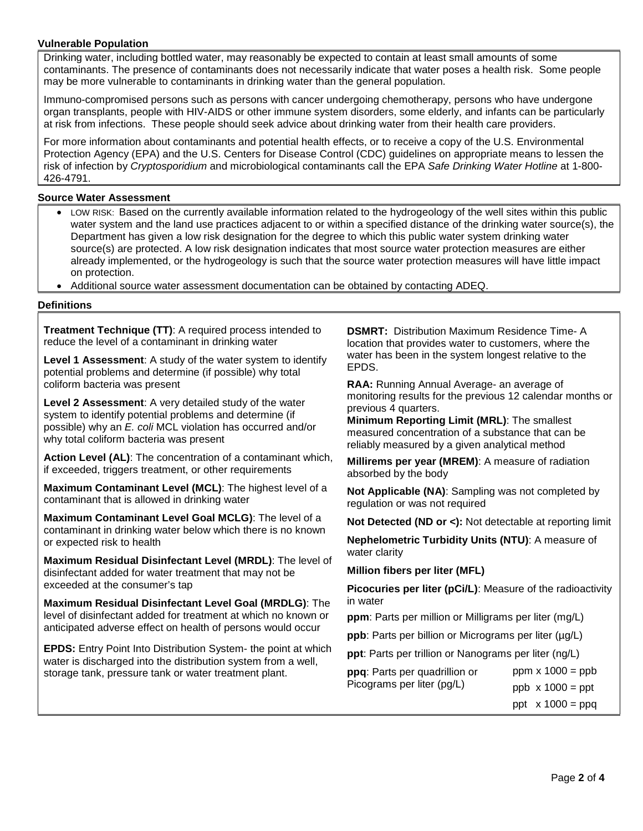### **Vulnerable Population**

Drinking water, including bottled water, may reasonably be expected to contain at least small amounts of some contaminants. The presence of contaminants does not necessarily indicate that water poses a health risk. Some people may be more vulnerable to contaminants in drinking water than the general population.

Immuno-compromised persons such as persons with cancer undergoing chemotherapy, persons who have undergone organ transplants, people with HIV-AIDS or other immune system disorders, some elderly, and infants can be particularly at risk from infections. These people should seek advice about drinking water from their health care providers.

For more information about contaminants and potential health effects, or to receive a copy of the U.S. Environmental Protection Agency (EPA) and the U.S. Centers for Disease Control (CDC) guidelines on appropriate means to lessen the risk of infection by *Cryptosporidium* and microbiological contaminants call the EPA *Safe Drinking Water Hotline* at 1-800- 426-4791.

#### **Source Water Assessment**

- LOW RISK: Based on the currently available information related to the hydrogeology of the well sites within this public water system and the land use practices adjacent to or within a specified distance of the drinking water source(s), the Department has given a low risk designation for the degree to which this public water system drinking water source(s) are protected. A low risk designation indicates that most source water protection measures are either already implemented, or the hydrogeology is such that the source water protection measures will have little impact on protection.
- Additional source water assessment documentation can be obtained by contacting ADEQ.

### **Definitions**

**Treatment Technique (TT)**: A required process intended to reduce the level of a contaminant in drinking water

**Level 1 Assessment**: A study of the water system to identify potential problems and determine (if possible) why total coliform bacteria was present

**Level 2 Assessment**: A very detailed study of the water system to identify potential problems and determine (if possible) why an *E. coli* MCL violation has occurred and/or why total coliform bacteria was present

**Action Level (AL)**: The concentration of a contaminant which, if exceeded, triggers treatment, or other requirements

**Maximum Contaminant Level (MCL)**: The highest level of a contaminant that is allowed in drinking water

**Maximum Contaminant Level Goal MCLG)**: The level of a contaminant in drinking water below which there is no known or expected risk to health

**Maximum Residual Disinfectant Level (MRDL)**: The level of disinfectant added for water treatment that may not be exceeded at the consumer's tap

**Maximum Residual Disinfectant Level Goal (MRDLG)**: The level of disinfectant added for treatment at which no known or anticipated adverse effect on health of persons would occur

**EPDS:** Entry Point Into Distribution System- the point at which water is discharged into the distribution system from a well, storage tank, pressure tank or water treatment plant.

**DSMRT:** Distribution Maximum Residence Time- A location that provides water to customers, where the water has been in the system longest relative to the EPDS.

**RAA:** Running Annual Average- an average of monitoring results for the previous 12 calendar months or previous 4 quarters.

**Minimum Reporting Limit (MRL)**: The smallest measured concentration of a substance that can be reliably measured by a given analytical method

**Millirems per year (MREM)**: A measure of radiation absorbed by the body

**Not Applicable (NA)**: Sampling was not completed by regulation or was not required

**Not Detected (ND or <):** Not detectable at reporting limit

**Nephelometric Turbidity Units (NTU)**: A measure of water clarity

**Million fibers per liter (MFL)**

**Picocuries per liter (pCi/L)**: Measure of the radioactivity in water

**ppm**: Parts per million or Milligrams per liter (mg/L)

ppb: Parts per billion or Micrograms per liter (µg/L)

**ppt**: Parts per trillion or Nanograms per liter (ng/L)

| <b>ppq</b> : Parts per quadrillion or | ppm $x 1000 = ppb$      |
|---------------------------------------|-------------------------|
| Picograms per liter (pg/L)            | $ppb \times 1000 = ppt$ |
|                                       | ppt $\times$ 1000 = ppg |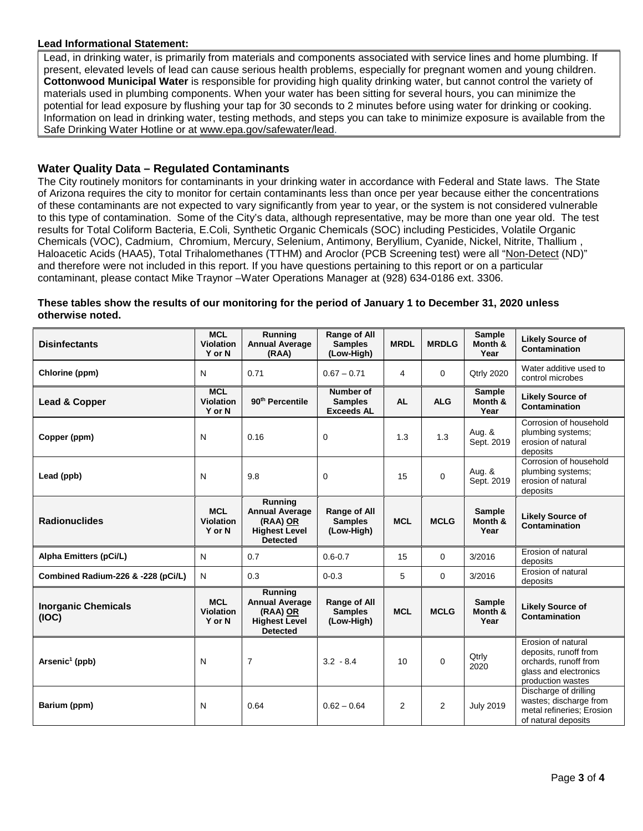### **Lead Informational Statement:**

Lead, in drinking water, is primarily from materials and components associated with service lines and home plumbing. If present, elevated levels of lead can cause serious health problems, especially for pregnant women and young children. **Cottonwood Municipal Water** is responsible for providing high quality drinking water, but cannot control the variety of materials used in plumbing components. When your water has been sitting for several hours, you can minimize the potential for lead exposure by flushing your tap for 30 seconds to 2 minutes before using water for drinking or cooking. Information on lead in drinking water, testing methods, and steps you can take to minimize exposure is available from the Safe Drinking Water Hotline or at [www.epa.gov/safewater/lead.](http://www.epa.gov/safewater/lead)

## **Water Quality Data – Regulated Contaminants**

The City routinely monitors for contaminants in your drinking water in accordance with Federal and State laws. The State of Arizona requires the city to monitor for certain contaminants less than once per year because either the concentrations of these contaminants are not expected to vary significantly from year to year, or the system is not considered vulnerable to this type of contamination. Some of the City's data, although representative, may be more than one year old. The test results for Total Coliform Bacteria, E.Coli, Synthetic Organic Chemicals (SOC) including Pesticides, Volatile Organic Chemicals (VOC), Cadmium, Chromium, Mercury, Selenium, Antimony, Beryllium, Cyanide, Nickel, Nitrite, Thallium , Haloacetic Acids (HAA5), Total Trihalomethanes (TTHM) and Aroclor (PCB Screening test) were all "Non-Detect (ND)" and therefore were not included in this report. If you have questions pertaining to this report or on a particular contaminant, please contact Mike Traynor –Water Operations Manager at (928) 634-0186 ext. 3306.

### **These tables show the results of our monitoring for the period of January 1 to December 31, 2020 unless otherwise noted.**

| <b>Disinfectants</b>                | <b>MCL</b><br><b>Violation</b><br>Y or N | Running<br><b>Annual Average</b><br>(RAA)                                               | <b>Range of All</b><br><b>Samples</b><br>(Low-High) | <b>MRDL</b>    | <b>MRDLG</b> | <b>Sample</b><br>Month &<br>Year | <b>Likely Source of</b><br>Contamination                                                                           |
|-------------------------------------|------------------------------------------|-----------------------------------------------------------------------------------------|-----------------------------------------------------|----------------|--------------|----------------------------------|--------------------------------------------------------------------------------------------------------------------|
| Chlorine (ppm)                      | N                                        | 0.71                                                                                    | $0.67 - 0.71$                                       | 4              | $\Omega$     | <b>Qtrly 2020</b>                | Water additive used to<br>control microbes                                                                         |
| Lead & Copper                       | <b>MCL</b><br><b>Violation</b><br>Y or N | 90 <sup>th</sup> Percentile                                                             | Number of<br><b>Samples</b><br><b>Exceeds AL</b>    | <b>AL</b>      | <b>ALG</b>   | <b>Sample</b><br>Month &<br>Year | <b>Likely Source of</b><br><b>Contamination</b>                                                                    |
| Copper (ppm)                        | N                                        | 0.16                                                                                    | 0                                                   | 1.3            | 1.3          | Aug. &<br>Sept. 2019             | Corrosion of household<br>plumbing systems;<br>erosion of natural<br>deposits                                      |
| Lead (ppb)                          | N                                        | 9.8                                                                                     | 0                                                   | 15             | $\mathbf 0$  | Aug. &<br>Sept. 2019             | Corrosion of household<br>plumbing systems;<br>erosion of natural<br>deposits                                      |
| <b>Radionuclides</b>                | <b>MCL</b><br><b>Violation</b><br>Y or N | Running<br><b>Annual Average</b><br>(RAA) OR<br><b>Highest Level</b><br><b>Detected</b> | <b>Range of All</b><br><b>Samples</b><br>(Low-High) | <b>MCL</b>     | <b>MCLG</b>  | <b>Sample</b><br>Month &<br>Year | <b>Likely Source of</b><br>Contamination                                                                           |
| <b>Alpha Emitters (pCi/L)</b>       | N                                        | 0.7                                                                                     | $0.6 - 0.7$                                         | 15             | $\Omega$     | 3/2016                           | Erosion of natural<br>deposits                                                                                     |
| Combined Radium-226 & -228 (pCi/L)  | N                                        | 0.3                                                                                     | $0 - 0.3$                                           | 5              | $\Omega$     | 3/2016                           | Erosion of natural<br>deposits                                                                                     |
| <b>Inorganic Chemicals</b><br>(IOC) | <b>MCL</b><br><b>Violation</b><br>Y or N | Running<br><b>Annual Average</b><br>(RAA) OR<br><b>Highest Level</b><br><b>Detected</b> | Range of All<br><b>Samples</b><br>(Low-High)        | <b>MCL</b>     | <b>MCLG</b>  | <b>Sample</b><br>Month &<br>Year | <b>Likely Source of</b><br>Contamination                                                                           |
| Arsenic <sup>1</sup> (ppb)          | N                                        | $\overline{7}$                                                                          | $3.2 - 8.4$                                         | 10             | $\Omega$     | Qtrly<br>2020                    | Erosion of natural<br>deposits, runoff from<br>orchards, runoff from<br>glass and electronics<br>production wastes |
| Barium (ppm)                        | N                                        | 0.64                                                                                    | $0.62 - 0.64$                                       | $\overline{2}$ | 2            | <b>July 2019</b>                 | Discharge of drilling<br>wastes; discharge from<br>metal refineries; Erosion<br>of natural deposits                |